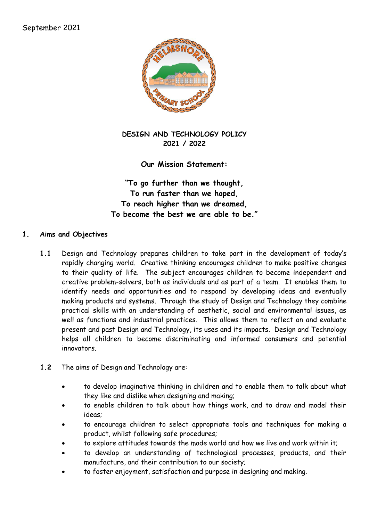

**DESIGN AND TECHNOLOGY POLICY 2021 / 2022**

**Our Mission Statement:**

**"To go further than we thought, To run faster than we hoped, To reach higher than we dreamed, To become the best we are able to be."**

#### **1. Aims and Objectives**

- **1.1** Design and Technology prepares children to take part in the development of today's rapidly changing world. Creative thinking encourages children to make positive changes to their quality of life. The subject encourages children to become independent and creative problem-solvers, both as individuals and as part of a team. It enables them to identify needs and opportunities and to respond by developing ideas and eventually making products and systems. Through the study of Design and Technology they combine practical skills with an understanding of aesthetic, social and environmental issues, as well as functions and industrial practices. This allows them to reflect on and evaluate present and past Design and Technology, its uses and its impacts. Design and Technology helps all children to become discriminating and informed consumers and potential innovators.
- **1.2** The aims of Design and Technology are:
	- to develop imaginative thinking in children and to enable them to talk about what they like and dislike when designing and making;
	- to enable children to talk about how things work, and to draw and model their ideas;
	- to encourage children to select appropriate tools and techniques for making a product, whilst following safe procedures;
	- to explore attitudes towards the made world and how we live and work within it;
	- to develop an understanding of technological processes, products, and their manufacture, and their contribution to our society;
	- to foster enjoyment, satisfaction and purpose in designing and making.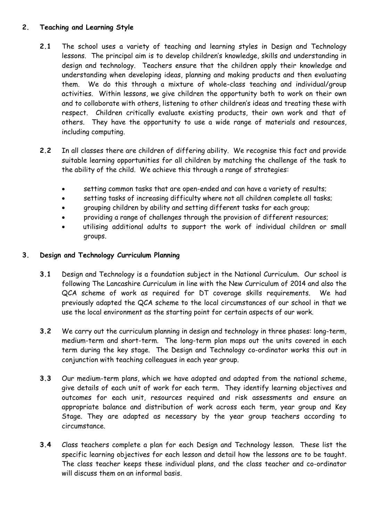# **2. Teaching and Learning Style**

- **2.1** The school uses a variety of teaching and learning styles in Design and Technology lessons. The principal aim is to develop children's knowledge, skills and understanding in design and technology. Teachers ensure that the children apply their knowledge and understanding when developing ideas, planning and making products and then evaluating them. We do this through a mixture of whole-class teaching and individual/group activities. Within lessons, we give children the opportunity both to work on their own and to collaborate with others, listening to other children's ideas and treating these with respect. Children critically evaluate existing products, their own work and that of others. They have the opportunity to use a wide range of materials and resources, including computing.
- **2.2** In all classes there are children of differing ability. We recognise this fact and provide suitable learning opportunities for all children by matching the challenge of the task to the ability of the child. We achieve this through a range of strategies:
	- setting common tasks that are open-ended and can have a variety of results;
	- setting tasks of increasing difficulty where not all children complete all tasks;
	- grouping children by ability and setting different tasks for each group;
	- providing a range of challenges through the provision of different resources;
	- utilising additional adults to support the work of individual children or small groups.

#### **3. Design and Technology Curriculum Planning**

- **3.1** Design and Technology is a foundation subject in the National Curriculum. Our school is following The Lancashire Curriculum in line with the New Curriculum of 2014 and also the QCA scheme of work as required for DT coverage skills requirements. We had previously adapted the QCA scheme to the local circumstances of our school in that we use the local environment as the starting point for certain aspects of our work.
- **3.2** We carry out the curriculum planning in design and technology in three phases: long-term, medium-term and short-term. The long-term plan maps out the units covered in each term during the key stage. The Design and Technology co-ordinator works this out in conjunction with teaching colleagues in each year group.
- **3.3** Our medium-term plans, which we have adopted and adapted from the national scheme, give details of each unit of work for each term. They identify learning objectives and outcomes for each unit, resources required and risk assessments and ensure an appropriate balance and distribution of work across each term, year group and Key Stage. They are adapted as necessary by the year group teachers according to circumstance.
- **3.4** Class teachers complete a plan for each Design and Technology lesson. These list the specific learning objectives for each lesson and detail how the lessons are to be taught. The class teacher keeps these individual plans, and the class teacher and co-ordinator will discuss them on an informal basis.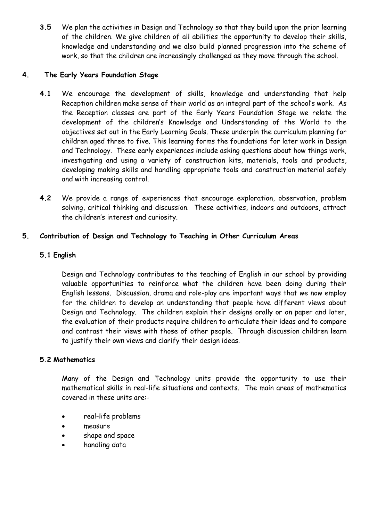**3.5** We plan the activities in Design and Technology so that they build upon the prior learning of the children. We give children of all abilities the opportunity to develop their skills, knowledge and understanding and we also build planned progression into the scheme of work, so that the children are increasingly challenged as they move through the school.

# **4. The Early Years Foundation Stage**

- **4.1** We encourage the development of skills, knowledge and understanding that help Reception children make sense of their world as an integral part of the school's work. As the Reception classes are part of the Early Years Foundation Stage we relate the development of the children's Knowledge and Understanding of the World to the objectives set out in the Early Learning Goals. These underpin the curriculum planning for children aged three to five. This learning forms the foundations for later work in Design and Technology. These early experiences include asking questions about how things work, investigating and using a variety of construction kits, materials, tools and products, developing making skills and handling appropriate tools and construction material safely and with increasing control.
- **4.2** We provide a range of experiences that encourage exploration, observation, problem solving, critical thinking and discussion. These activities, indoors and outdoors, attract the children's interest and curiosity.

# **5. Contribution of Design and Technology to Teaching in Other Curriculum Areas**

# **5.1 English**

Design and Technology contributes to the teaching of English in our school by providing valuable opportunities to reinforce what the children have been doing during their English lessons. Discussion, drama and role-play are important ways that we now employ for the children to develop an understanding that people have different views about Design and Technology. The children explain their designs orally or on paper and later, the evaluation of their products require children to articulate their ideas and to compare and contrast their views with those of other people. Through discussion children learn to justify their own views and clarify their design ideas.

#### **5.2 Mathematics**

Many of the Design and Technology units provide the opportunity to use their mathematical skills in real-life situations and contexts. The main areas of mathematics covered in these units are:-

- real-life problems
- measure
- shape and space
- handling data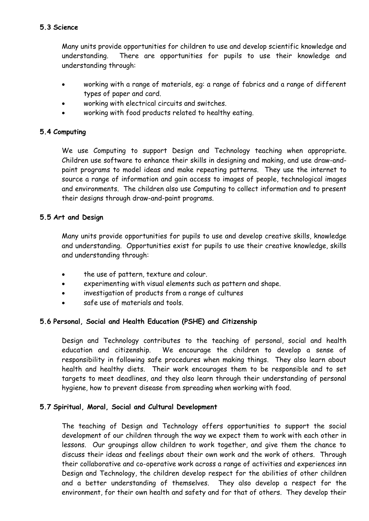# **5.3 Science**

Many units provide opportunities for children to use and develop scientific knowledge and understanding. There are opportunities for pupils to use their knowledge and understanding through:

- working with a range of materials, eg: a range of fabrics and a range of different types of paper and card.
- working with electrical circuits and switches.
- working with food products related to healthy eating.

# **5.4 Computing**

We use Computing to support Design and Technology teaching when appropriate. Children use software to enhance their skills in designing and making, and use draw-andpaint programs to model ideas and make repeating patterns. They use the internet to source a range of information and gain access to images of people, technological images and environments. The children also use Computing to collect information and to present their designs through draw-and-paint programs.

# **5.5 Art and Design**

Many units provide opportunities for pupils to use and develop creative skills, knowledge and understanding. Opportunities exist for pupils to use their creative knowledge, skills and understanding through:

- the use of pattern, texture and colour.
- experimenting with visual elements such as pattern and shape.
- investigation of products from a range of cultures
- safe use of materials and tools.

# **5.6 Personal, Social and Health Education (PSHE) and Citizenship**

Design and Technology contributes to the teaching of personal, social and health education and citizenship. We encourage the children to develop a sense of responsibility in following safe procedures when making things. They also learn about health and healthy diets. Their work encourages them to be responsible and to set targets to meet deadlines, and they also learn through their understanding of personal hygiene, how to prevent disease from spreading when working with food.

# **5.7 Spiritual, Moral, Social and Cultural Development**

The teaching of Design and Technology offers opportunities to support the social development of our children through the way we expect them to work with each other in lessons. Our groupings allow children to work together, and give them the chance to discuss their ideas and feelings about their own work and the work of others. Through their collaborative and co-operative work across a range of activities and experiences inn Design and Technology, the children develop respect for the abilities of other children and a better understanding of themselves. They also develop a respect for the environment, for their own health and safety and for that of others. They develop their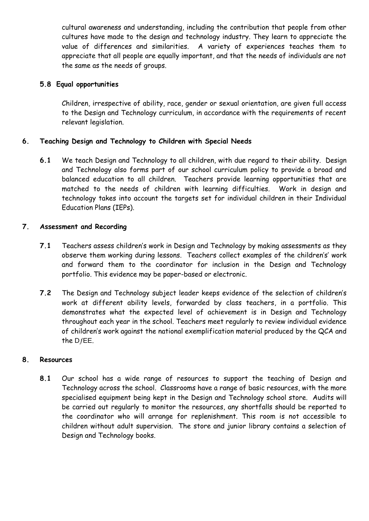cultural awareness and understanding, including the contribution that people from other cultures have made to the design and technology industry. They learn to appreciate the value of differences and similarities. A variety of experiences teaches them to appreciate that all people are equally important, and that the needs of individuals are not the same as the needs of groups.

### **5.8 Equal opportunities**

Children, irrespective of ability, race, gender or sexual orientation, are given full access to the Design and Technology curriculum, in accordance with the requirements of recent relevant legislation.

#### **6. Teaching Design and Technology to Children with Special Needs**

**6.1** We teach Design and Technology to all children, with due regard to their ability. Design and Technology also forms part of our school curriculum policy to provide a broad and balanced education to all children. Teachers provide learning opportunities that are matched to the needs of children with learning difficulties. Work in design and technology takes into account the targets set for individual children in their Individual Education Plans (IEPs).

#### **7. Assessment and Recording**

- **7.1** Teachers assess children's work in Design and Technology by making assessments as they observe them working during lessons. Teachers collect examples of the children's' work and forward them to the coordinator for inclusion in the Design and Technology portfolio. This evidence may be paper-based or electronic.
- **7.2** The Design and Technology subject leader keeps evidence of the selection of children's work at different ability levels, forwarded by class teachers, in a portfolio. This demonstrates what the expected level of achievement is in Design and Technology throughout each year in the school. Teachers meet regularly to review individual evidence of children's work against the national exemplification material produced by the QCA and the  $DfEE$ .

#### **8. Resources**

**8.1** Our school has a wide range of resources to support the teaching of Design and Technology across the school. Classrooms have a range of basic resources, with the more specialised equipment being kept in the Design and Technology school store. Audits will be carried out regularly to monitor the resources, any shortfalls should be reported to the coordinator who will arrange for replenishment. This room is not accessible to children without adult supervision. The store and junior library contains a selection of Design and Technology books.